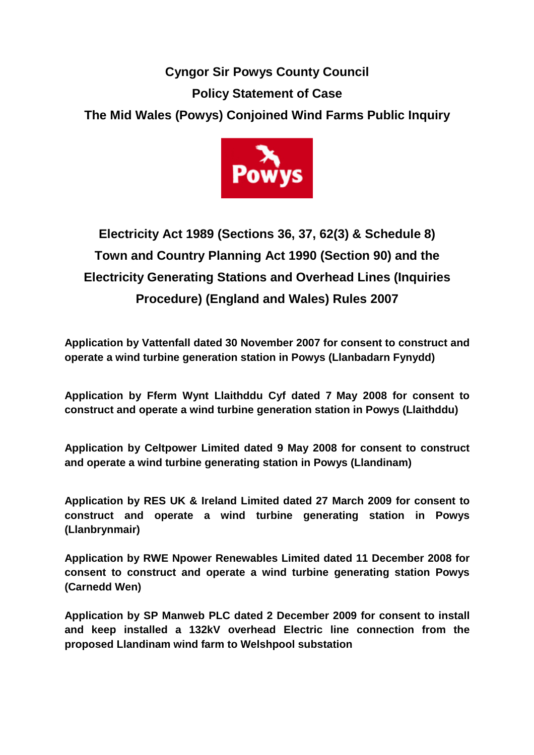## **Cyngor Sir Powys County Council Policy Statement of Case The Mid Wales (Powys) Conjoined Wind Farms Public Inquiry**



# **Electricity Act 1989 (Sections 36, 37, 62(3) & Schedule 8) Town and Country Planning Act 1990 (Section 90) and the Electricity Generating Stations and Overhead Lines (Inquiries Procedure) (England and Wales) Rules 2007**

**Application by Vattenfall dated 30 November 2007 for consent to construct and operate a wind turbine generation station in Powys (Llanbadarn Fynydd)** 

**Application by Fferm Wynt Llaithddu Cyf dated 7 May 2008 for consent to construct and operate a wind turbine generation station in Powys (Llaithddu)** 

**Application by Celtpower Limited dated 9 May 2008 for consent to construct and operate a wind turbine generating station in Powys (Llandinam)** 

**Application by RES UK & Ireland Limited dated 27 March 2009 for consent to construct and operate a wind turbine generating station in Powys (Llanbrynmair)** 

**Application by RWE Npower Renewables Limited dated 11 December 2008 for consent to construct and operate a wind turbine generating station Powys (Carnedd Wen)** 

**Application by SP Manweb PLC dated 2 December 2009 for consent to install and keep installed a 132kV overhead Electric line connection from the proposed Llandinam wind farm to Welshpool substation**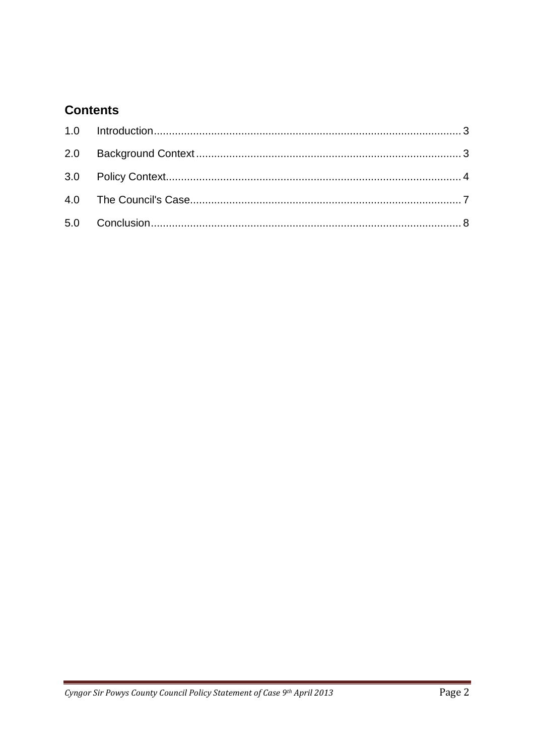## **Contents**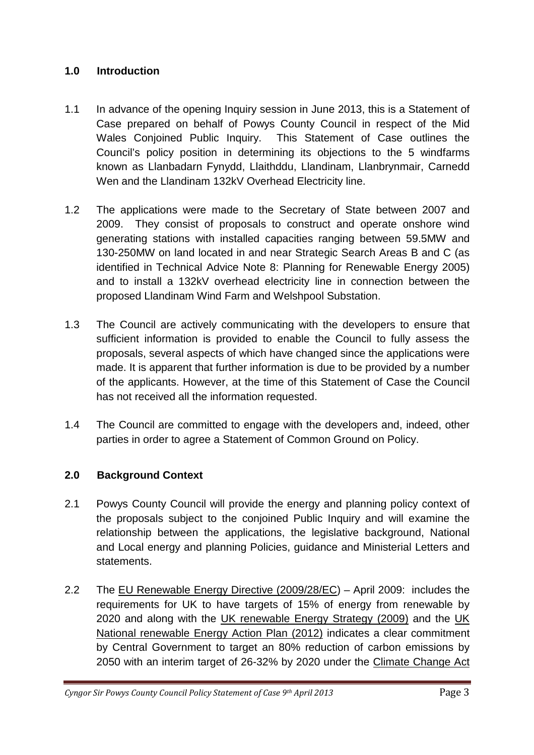#### **1.0 Introduction**

- 1.1 In advance of the opening Inquiry session in June 2013, this is a Statement of Case prepared on behalf of Powys County Council in respect of the Mid Wales Conjoined Public Inquiry. This Statement of Case outlines the Council's policy position in determining its objections to the 5 windfarms known as Llanbadarn Fynydd, Llaithddu, Llandinam, Llanbrynmair, Carnedd Wen and the Llandinam 132kV Overhead Electricity line.
- 1.2 The applications were made to the Secretary of State between 2007 and 2009. They consist of proposals to construct and operate onshore wind generating stations with installed capacities ranging between 59.5MW and 130-250MW on land located in and near Strategic Search Areas B and C (as identified in Technical Advice Note 8: Planning for Renewable Energy 2005) and to install a 132kV overhead electricity line in connection between the proposed Llandinam Wind Farm and Welshpool Substation.
- 1.3 The Council are actively communicating with the developers to ensure that sufficient information is provided to enable the Council to fully assess the proposals, several aspects of which have changed since the applications were made. It is apparent that further information is due to be provided by a number of the applicants. However, at the time of this Statement of Case the Council has not received all the information requested.
- 1.4 The Council are committed to engage with the developers and, indeed, other parties in order to agree a Statement of Common Ground on Policy.

#### **2.0 Background Context**

- 2.1 Powys County Council will provide the energy and planning policy context of the proposals subject to the conjoined Public Inquiry and will examine the relationship between the applications, the legislative background, National and Local energy and planning Policies, guidance and Ministerial Letters and statements.
- 2.2 The EU Renewable Energy Directive (2009/28/EC) April 2009: includes the requirements for UK to have targets of 15% of energy from renewable by 2020 and along with the UK renewable Energy Strategy (2009) and the UK National renewable Energy Action Plan (2012) indicates a clear commitment by Central Government to target an 80% reduction of carbon emissions by 2050 with an interim target of 26-32% by 2020 under the Climate Change Act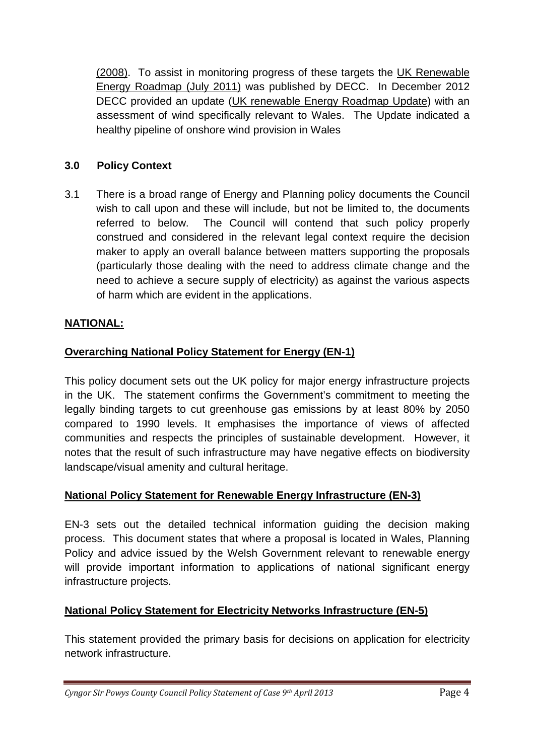(2008). To assist in monitoring progress of these targets the UK Renewable Energy Roadmap (July 2011) was published by DECC. In December 2012 DECC provided an update (UK renewable Energy Roadmap Update) with an assessment of wind specifically relevant to Wales. The Update indicated a healthy pipeline of onshore wind provision in Wales

## **3.0 Policy Context**

3.1 There is a broad range of Energy and Planning policy documents the Council wish to call upon and these will include, but not be limited to, the documents referred to below. The Council will contend that such policy properly construed and considered in the relevant legal context require the decision maker to apply an overall balance between matters supporting the proposals (particularly those dealing with the need to address climate change and the need to achieve a secure supply of electricity) as against the various aspects of harm which are evident in the applications.

## **NATIONAL:**

#### **Overarching National Policy Statement for Energy (EN-1)**

This policy document sets out the UK policy for major energy infrastructure projects in the UK. The statement confirms the Government's commitment to meeting the legally binding targets to cut greenhouse gas emissions by at least 80% by 2050 compared to 1990 levels. It emphasises the importance of views of affected communities and respects the principles of sustainable development. However, it notes that the result of such infrastructure may have negative effects on biodiversity landscape/visual amenity and cultural heritage.

#### **National Policy Statement for Renewable Energy Infrastructure (EN-3)**

EN-3 sets out the detailed technical information guiding the decision making process. This document states that where a proposal is located in Wales, Planning Policy and advice issued by the Welsh Government relevant to renewable energy will provide important information to applications of national significant energy infrastructure projects.

## **National Policy Statement for Electricity Networks Infrastructure (EN-5)**

This statement provided the primary basis for decisions on application for electricity network infrastructure.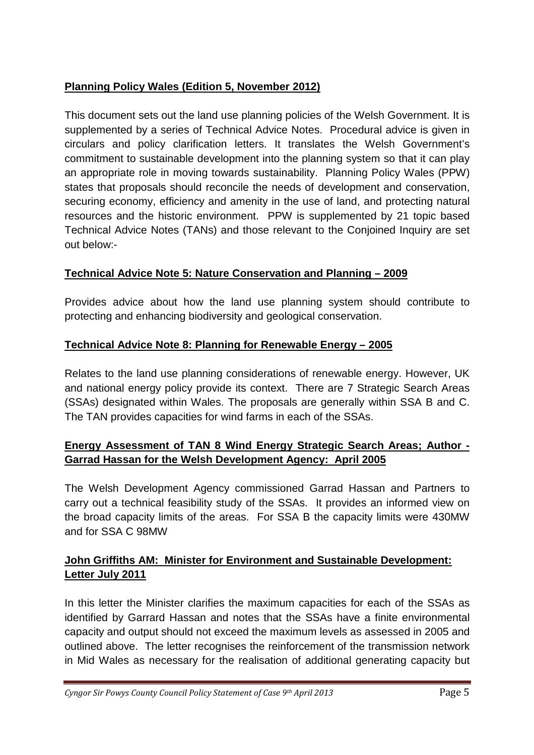## **Planning Policy Wales (Edition 5, November 2012)**

This document sets out the land use planning policies of the Welsh Government. It is supplemented by a series of Technical Advice Notes. Procedural advice is given in circulars and policy clarification letters. It translates the Welsh Government's commitment to sustainable development into the planning system so that it can play an appropriate role in moving towards sustainability. Planning Policy Wales (PPW) states that proposals should reconcile the needs of development and conservation, securing economy, efficiency and amenity in the use of land, and protecting natural resources and the historic environment. PPW is supplemented by 21 topic based Technical Advice Notes (TANs) and those relevant to the Conjoined Inquiry are set out below:-

## **Technical Advice Note 5: Nature Conservation and Planning – 2009**

Provides advice about how the land use planning system should contribute to protecting and enhancing biodiversity and geological conservation.

## **Technical Advice Note 8: Planning for Renewable Energy – 2005**

Relates to the land use planning considerations of renewable energy. However, UK and national energy policy provide its context. There are 7 Strategic Search Areas (SSAs) designated within Wales. The proposals are generally within SSA B and C. The TAN provides capacities for wind farms in each of the SSAs.

## **Energy Assessment of TAN 8 Wind Energy Strategic Search Areas; Author - Garrad Hassan for the Welsh Development Agency: April 2005**

The Welsh Development Agency commissioned Garrad Hassan and Partners to carry out a technical feasibility study of the SSAs. It provides an informed view on the broad capacity limits of the areas. For SSA B the capacity limits were 430MW and for SSA C 98MW

## **John Griffiths AM: Minister for Environment and Sustainable Development: Letter July 2011**

In this letter the Minister clarifies the maximum capacities for each of the SSAs as identified by Garrard Hassan and notes that the SSAs have a finite environmental capacity and output should not exceed the maximum levels as assessed in 2005 and outlined above. The letter recognises the reinforcement of the transmission network in Mid Wales as necessary for the realisation of additional generating capacity but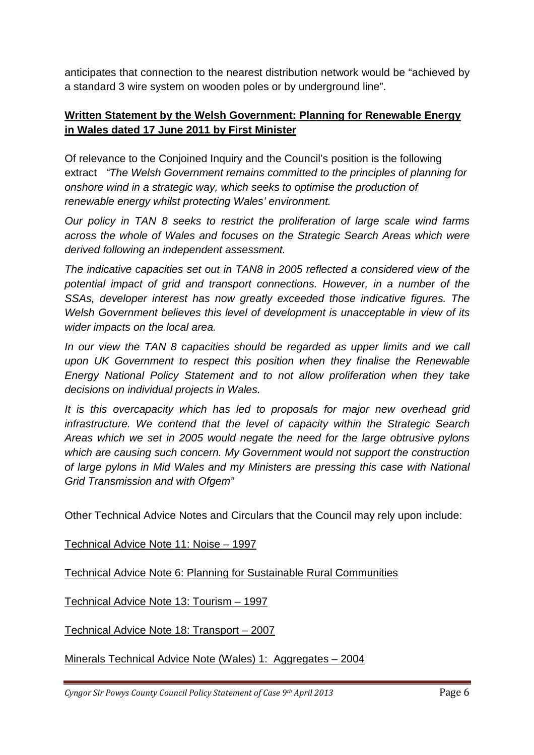anticipates that connection to the nearest distribution network would be "achieved by a standard 3 wire system on wooden poles or by underground line".

#### **Written Statement by the Welsh Government: Planning for Renewable Energy in Wales dated 17 June 2011 by First Minister**

Of relevance to the Conjoined Inquiry and the Council's position is the following extract "The Welsh Government remains committed to the principles of planning for onshore wind in a strategic way, which seeks to optimise the production of renewable energy whilst protecting Wales' environment.

Our policy in TAN 8 seeks to restrict the proliferation of large scale wind farms across the whole of Wales and focuses on the Strategic Search Areas which were derived following an independent assessment.

The indicative capacities set out in TAN8 in 2005 reflected a considered view of the potential impact of grid and transport connections. However, in a number of the SSAs, developer interest has now greatly exceeded those indicative figures. The Welsh Government believes this level of development is unacceptable in view of its wider impacts on the local area.

In our view the TAN 8 capacities should be regarded as upper limits and we call upon UK Government to respect this position when they finalise the Renewable Energy National Policy Statement and to not allow proliferation when they take decisions on individual projects in Wales.

It is this overcapacity which has led to proposals for major new overhead grid infrastructure. We contend that the level of capacity within the Strategic Search Areas which we set in 2005 would negate the need for the large obtrusive pylons which are causing such concern. My Government would not support the construction of large pylons in Mid Wales and my Ministers are pressing this case with National Grid Transmission and with Ofgem"

Other Technical Advice Notes and Circulars that the Council may rely upon include:

Technical Advice Note 11: Noise – 1997

Technical Advice Note 6: Planning for Sustainable Rural Communities

Technical Advice Note 13: Tourism – 1997

Technical Advice Note 18: Transport – 2007

Minerals Technical Advice Note (Wales) 1: Aggregates – 2004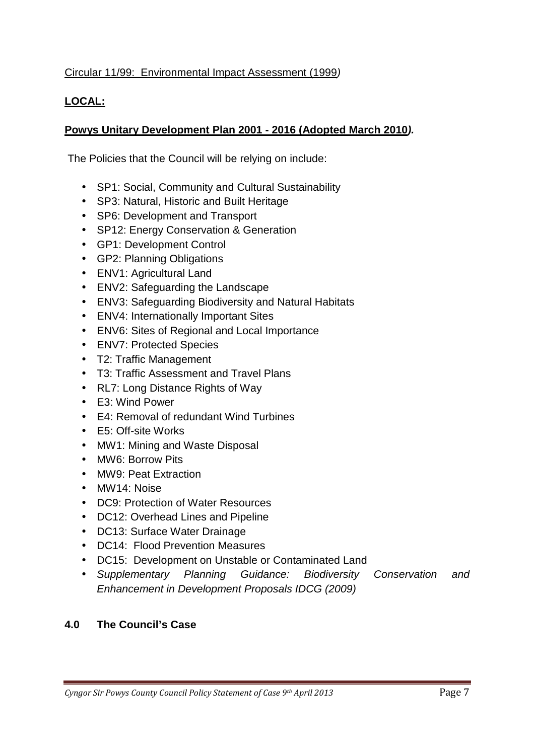#### Circular 11/99: Environmental Impact Assessment (1999)

## **LOCAL:**

## **Powys Unitary Development Plan 2001 - 2016 (Adopted March 2010).**

The Policies that the Council will be relying on include:

- SP1: Social, Community and Cultural Sustainability
- SP3: Natural, Historic and Built Heritage
- SP6: Development and Transport
- SP12: Energy Conservation & Generation
- GP1: Development Control
- GP2: Planning Obligations
- ENV1: Agricultural Land
- ENV2: Safeguarding the Landscape
- ENV3: Safeguarding Biodiversity and Natural Habitats
- ENV4: Internationally Important Sites
- ENV6: Sites of Regional and Local Importance
- ENV7: Protected Species
- T2: Traffic Management
- T3: Traffic Assessment and Travel Plans
- RL7: Long Distance Rights of Way
- E3: Wind Power
- E4: Removal of redundant Wind Turbines
- E5: Off-site Works
- MW1: Mining and Waste Disposal
- MW6: Borrow Pits
- MW9: Peat Extraction
- MW14: Noise
- DC9: Protection of Water Resources
- DC12: Overhead Lines and Pipeline
- DC13: Surface Water Drainage
- DC14: Flood Prevention Measures
- DC15: Development on Unstable or Contaminated Land
- Supplementary Planning Guidance: Biodiversity Conservation and Enhancement in Development Proposals IDCG (2009)

#### **4.0 The Council's Case**